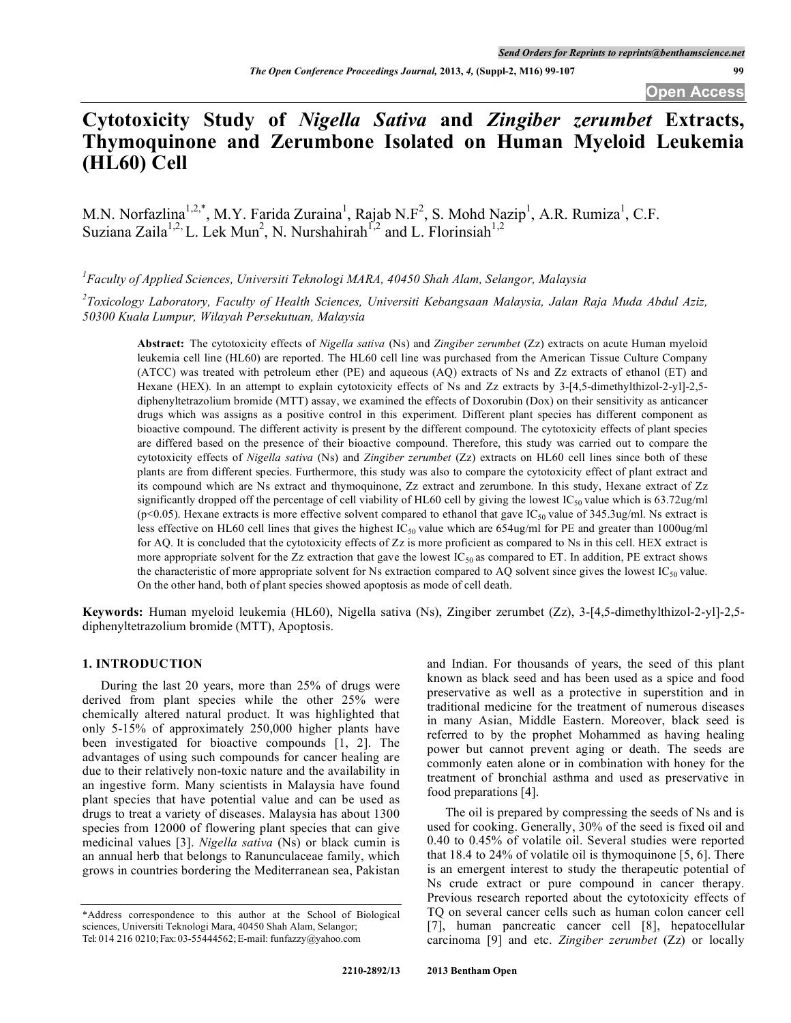*The Open Conference Proceedings Journal,* **2013,** *4,* **(Suppl-2, M16) 99-107 99**

**Open Access**

# **Cytotoxicity Study of** *Nigella Sativa* **and** *Zingiber zerumbet* **Extracts, Thymoquinone and Zerumbone Isolated on Human Myeloid Leukemia (HL60) Cell**

M.N. Norfazlina<sup>1,2,\*</sup>, M.Y. Farida Zuraina<sup>1</sup>, Rajab N.F<sup>2</sup>, S. Mohd Nazip<sup>1</sup>, A.R. Rumiza<sup>1</sup>, C.F. Suziana Zaila<sup>1,2,</sup> L. Lek Mun<sup>2</sup>, N. Nurshahirah<sup>1,2</sup> and L. Florinsiah<sup>1,2</sup>

*1 Faculty of Applied Sciences, Universiti Teknologi MARA, 40450 Shah Alam, Selangor, Malaysia*

*2 Toxicology Laboratory, Faculty of Health Sciences, Universiti Kebangsaan Malaysia, Jalan Raja Muda Abdul Aziz, 50300 Kuala Lumpur, Wilayah Persekutuan, Malaysia*

**Abstract:** The cytotoxicity effects of *Nigella sativa* (Ns) and *Zingiber zerumbet* (Zz) extracts on acute Human myeloid leukemia cell line (HL60) are reported. The HL60 cell line was purchased from the American Tissue Culture Company (ATCC) was treated with petroleum ether (PE) and aqueous (AQ) extracts of Ns and Zz extracts of ethanol (ET) and Hexane (HEX). In an attempt to explain cytotoxicity effects of Ns and Zz extracts by 3-[4,5-dimethylthizol-2-yl]-2,5diphenyltetrazolium bromide (MTT) assay, we examined the effects of Doxorubin (Dox) on their sensitivity as anticancer drugs which was assigns as a positive control in this experiment. Different plant species has different component as bioactive compound. The different activity is present by the different compound. The cytotoxicity effects of plant species are differed based on the presence of their bioactive compound. Therefore, this study was carried out to compare the cytotoxicity effects of *Nigella sativa* (Ns) and *Zingiber zerumbet* (Zz) extracts on HL60 cell lines since both of these plants are from different species. Furthermore, this study was also to compare the cytotoxicity effect of plant extract and its compound which are Ns extract and thymoquinone, Zz extract and zerumbone. In this study, Hexane extract of Zz significantly dropped off the percentage of cell viability of HL60 cell by giving the lowest  $IC_{50}$  value which is 63.72ug/ml (p<0.05). Hexane extracts is more effective solvent compared to ethanol that gave IC<sub>50</sub> value of 345.3ug/ml. Ns extract is less effective on HL60 cell lines that gives the highest  $IC_{50}$  value which are 654ug/ml for PE and greater than 1000ug/ml for AQ. It is concluded that the cytotoxicity effects of Zz is more proficient as compared to Ns in this cell. HEX extract is more appropriate solvent for the Zz extraction that gave the lowest  $IC_{50}$  as compared to ET. In addition, PE extract shows the characteristic of more appropriate solvent for Ns extraction compared to AQ solvent since gives the lowest  $IC_{50}$  value. On the other hand, both of plant species showed apoptosis as mode of cell death.

**Keywords:** Human myeloid leukemia (HL60), Nigella sativa (Ns), Zingiber zerumbet (Zz), 3-[4,5-dimethylthizol-2-yl]-2,5 diphenyltetrazolium bromide (MTT), Apoptosis.

#### **1. INTRODUCTION**

During the last 20 years, more than 25% of drugs were derived from plant species while the other 25% were chemically altered natural product. It was highlighted that only 5-15% of approximately 250,000 higher plants have been investigated for bioactive compounds [1, 2]. The advantages of using such compounds for cancer healing are due to their relatively non-toxic nature and the availability in an ingestive form. Many scientists in Malaysia have found plant species that have potential value and can be used as drugs to treat a variety of diseases. Malaysia has about 1300 species from 12000 of flowering plant species that can give medicinal values [3]. *Nigella sativa* (Ns) or black cumin is an annual herb that belongs to Ranunculaceae family, which grows in countries bordering the Mediterranean sea, Pakistan

and Indian. For thousands of years, the seed of this plant known as black seed and has been used as a spice and food preservative as well as a protective in superstition and in traditional medicine for the treatment of numerous diseases in many Asian, Middle Eastern. Moreover, black seed is referred to by the prophet Mohammed as having healing power but cannot prevent aging or death. The seeds are commonly eaten alone or in combination with honey for the treatment of bronchial asthma and used as preservative in food preparations [4].

The oil is prepared by compressing the seeds of Ns and is used for cooking. Generally, 30% of the seed is fixed oil and 0.40 to 0.45% of volatile oil. Several studies were reported that 18.4 to 24% of volatile oil is thymoquinone [5, 6]. There is an emergent interest to study the therapeutic potential of Ns crude extract or pure compound in cancer therapy. Previous research reported about the cytotoxicity effects of TQ on several cancer cells such as human colon cancer cell [7], human pancreatic cancer cell [8], hepatocellular carcinoma [9] and etc. *Zingiber zerumbet* (Zz) or locally

<sup>\*</sup>Address correspondence to this author at the School of Biological sciences, Universiti Teknologi Mara, 40450 Shah Alam, Selangor; Tel: 014 216 0210;Fax:03-55444562;E-mail: funfazzy@yahoo.com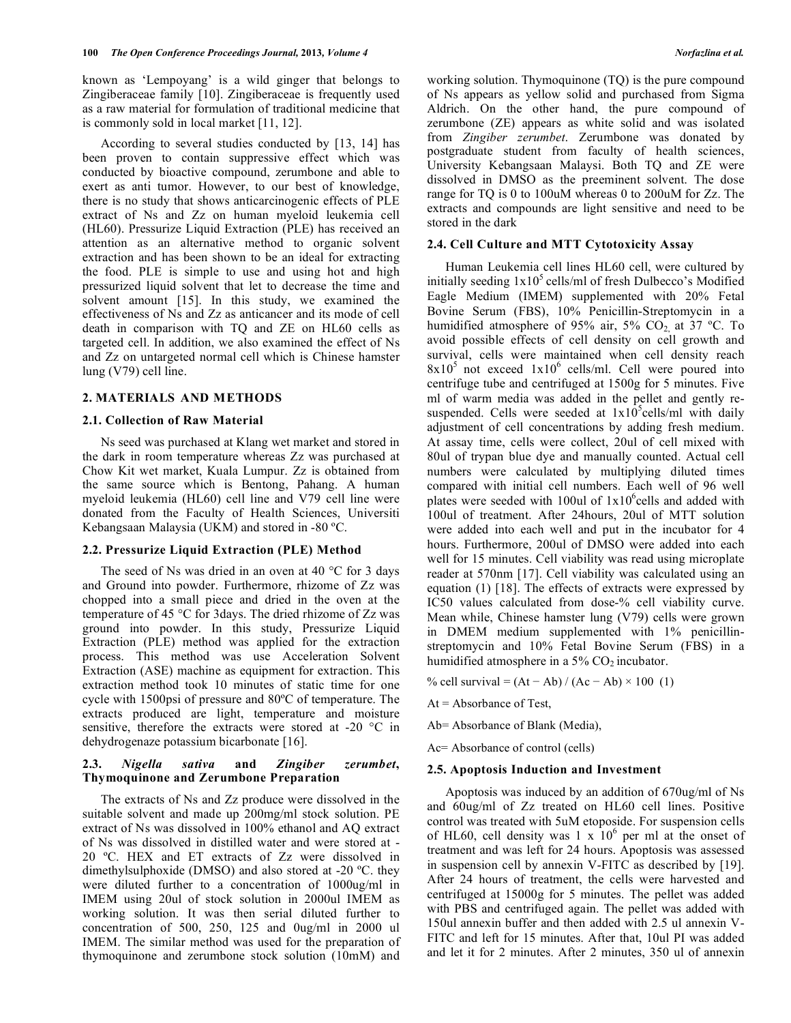known as 'Lempoyang' is a wild ginger that belongs to Zingiberaceae family [10]. Zingiberaceae is frequently used as a raw material for formulation of traditional medicine that is commonly sold in local market [11, 12].

According to several studies conducted by [13, 14] has been proven to contain suppressive effect which was conducted by bioactive compound, zerumbone and able to exert as anti tumor. However, to our best of knowledge, there is no study that shows anticarcinogenic effects of PLE extract of Ns and Zz on human myeloid leukemia cell (HL60). Pressurize Liquid Extraction (PLE) has received an attention as an alternative method to organic solvent extraction and has been shown to be an ideal for extracting the food. PLE is simple to use and using hot and high pressurized liquid solvent that let to decrease the time and solvent amount [15]. In this study, we examined the effectiveness of Ns and Zz as anticancer and its mode of cell death in comparison with TQ and ZE on HL60 cells as targeted cell. In addition, we also examined the effect of Ns and Zz on untargeted normal cell which is Chinese hamster lung (V79) cell line.

## **2. MATERIALS AND METHODS**

## **2.1. Collection of Raw Material**

Ns seed was purchased at Klang wet market and stored in the dark in room temperature whereas Zz was purchased at Chow Kit wet market, Kuala Lumpur. Zz is obtained from the same source which is Bentong, Pahang. A human myeloid leukemia (HL60) cell line and V79 cell line were donated from the Faculty of Health Sciences, Universiti Kebangsaan Malaysia (UKM) and stored in -80 ºC.

#### **2.2. Pressurize Liquid Extraction (PLE) Method**

The seed of Ns was dried in an oven at 40  $\degree$ C for 3 days and Ground into powder. Furthermore, rhizome of Zz was chopped into a small piece and dried in the oven at the temperature of 45 °C for 3days. The dried rhizome of Zz was ground into powder. In this study, Pressurize Liquid Extraction (PLE) method was applied for the extraction process. This method was use Acceleration Solvent Extraction (ASE) machine as equipment for extraction. This extraction method took 10 minutes of static time for one cycle with 1500psi of pressure and 80ºC of temperature. The extracts produced are light, temperature and moisture sensitive, therefore the extracts were stored at -20 °C in dehydrogenaze potassium bicarbonate [16].

# **2.3.** *Nigella sativa* **and** *Zingiber zerumbet***, Thymoquinone and Zerumbone Preparation**

The extracts of Ns and Zz produce were dissolved in the suitable solvent and made up 200mg/ml stock solution. PE extract of Ns was dissolved in 100% ethanol and AQ extract of Ns was dissolved in distilled water and were stored at - 20 ºC. HEX and ET extracts of Zz were dissolved in dimethylsulphoxide (DMSO) and also stored at -20 ºC. they were diluted further to a concentration of 1000ug/ml in IMEM using 20ul of stock solution in 2000ul IMEM as working solution. It was then serial diluted further to concentration of 500, 250, 125 and 0ug/ml in 2000 ul IMEM. The similar method was used for the preparation of thymoquinone and zerumbone stock solution (10mM) and

working solution. Thymoquinone (TQ) is the pure compound of Ns appears as yellow solid and purchased from Sigma Aldrich. On the other hand, the pure compound of zerumbone (ZE) appears as white solid and was isolated from *Zingiber zerumbet*. Zerumbone was donated by postgraduate student from faculty of health sciences, University Kebangsaan Malaysi. Both TQ and ZE were dissolved in DMSO as the preeminent solvent. The dose range for TQ is 0 to 100uM whereas 0 to 200uM for Zz. The extracts and compounds are light sensitive and need to be stored in the dark

#### **2.4. Cell Culture and MTT Cytotoxicity Assay**

Human Leukemia cell lines HL60 cell, were cultured by initially seeding  $1x10<sup>5</sup>$  cells/ml of fresh Dulbecco's Modified Eagle Medium (IMEM) supplemented with 20% Fetal Bovine Serum (FBS), 10% Penicillin-Streptomycin in a humidified atmosphere of 95% air, 5%  $CO<sub>2</sub>$  at 37 °C. To avoid possible effects of cell density on cell growth and survival, cells were maintained when cell density reach  $8x10<sup>5</sup>$  not exceed  $1x10<sup>6</sup>$  cells/ml. Cell were poured into centrifuge tube and centrifuged at 1500g for 5 minutes. Five ml of warm media was added in the pellet and gently resuspended. Cells were seeded at  $1x10^5$ cells/ml with daily adjustment of cell concentrations by adding fresh medium. At assay time, cells were collect, 20ul of cell mixed with 80ul of trypan blue dye and manually counted. Actual cell numbers were calculated by multiplying diluted times compared with initial cell numbers. Each well of 96 well plates were seeded with 100ul of  $1x10^6$ cells and added with 100ul of treatment. After 24hours, 20ul of MTT solution were added into each well and put in the incubator for 4 hours. Furthermore, 200ul of DMSO were added into each well for 15 minutes. Cell viability was read using microplate reader at 570nm [17]. Cell viability was calculated using an equation (1) [18]. The effects of extracts were expressed by IC50 values calculated from dose-% cell viability curve. Mean while, Chinese hamster lung (V79) cells were grown in DMEM medium supplemented with 1% penicillinstreptomycin and 10% Fetal Bovine Serum (FBS) in a humidified atmosphere in a 5%  $CO<sub>2</sub>$  incubator.

% cell survival =  $(At - Ab) / (Ac - Ab) \times 100$  (1)

 $At = Absorbance of Test$ ,

Ab= Absorbance of Blank (Media),

Ac= Absorbance of control (cells)

#### **2.5. Apoptosis Induction and Investment**

Apoptosis was induced by an addition of 670ug/ml of Ns and 60ug/ml of Zz treated on HL60 cell lines. Positive control was treated with 5uM etoposide. For suspension cells of HL60, cell density was  $1 \times 10^6$  per ml at the onset of treatment and was left for 24 hours. Apoptosis was assessed in suspension cell by annexin V-FITC as described by [19]. After 24 hours of treatment, the cells were harvested and centrifuged at 15000g for 5 minutes. The pellet was added with PBS and centrifuged again. The pellet was added with 150ul annexin buffer and then added with 2.5 ul annexin V-FITC and left for 15 minutes. After that, 10ul PI was added and let it for 2 minutes. After 2 minutes, 350 ul of annexin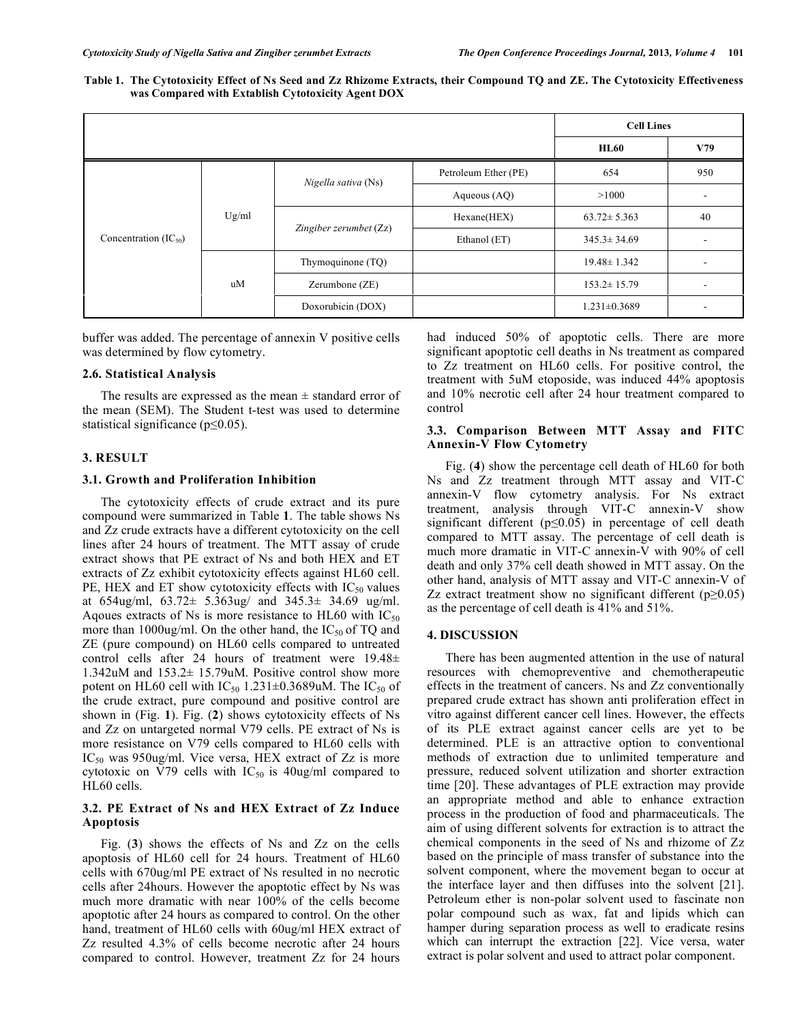Table 1. The Cytotoxicity Effect of Ns Seed and Zz Rhizome Extracts, their Compound TQ and ZE. The Cytotoxicity Effectiveness **was Compared with Extablish Cytotoxicity Agent DOX**

|                           |       |                        |                      | <b>Cell Lines</b>  |                          |
|---------------------------|-------|------------------------|----------------------|--------------------|--------------------------|
|                           |       |                        |                      | <b>HL60</b>        | V79                      |
| Concentration $(IC_{50})$ | Ug/ml | Nigella sativa (Ns)    | Petroleum Ether (PE) | 654                | 950                      |
|                           |       |                        | Aqueous $(AQ)$       | >1000              | $\overline{\phantom{a}}$ |
|                           |       | Zingiber zerumbet (Zz) | Hexane(HEX)          | $63.72 \pm 5.363$  | 40                       |
|                           |       |                        | Ethanol (ET)         | $345.3 \pm 34.69$  |                          |
|                           | uM    | Thymoquinone (TQ)      |                      | $19.48 \pm 1.342$  | ٠                        |
|                           |       | Zerumbone $(ZE)$       |                      | $153.2 \pm 15.79$  | $\blacksquare$           |
|                           |       | Doxorubicin (DOX)      |                      | $1.231 \pm 0.3689$ | ٠                        |

buffer was added. The percentage of annexin V positive cells was determined by flow cytometry.

# **2.6. Statistical Analysis**

The results are expressed as the mean  $\pm$  standard error of the mean (SEM). The Student t-test was used to determine statistical significance (p≤0.05).

## **3. RESULT**

#### **3.1. Growth and Proliferation Inhibition**

The cytotoxicity effects of crude extract and its pure compound were summarized in Table **1**. The table shows Ns and Zz crude extracts have a different cytotoxicity on the cell lines after 24 hours of treatment. The MTT assay of crude extract shows that PE extract of Ns and both HEX and ET extracts of Zz exhibit cytotoxicity effects against HL60 cell. PE, HEX and ET show cytotoxicity effects with  $IC_{50}$  values at 654ug/ml, 63.72± 5.363ug/ and 345.3± 34.69 ug/ml. Aqoues extracts of Ns is more resistance to HL60 with  $IC_{50}$ more than 1000ug/ml. On the other hand, the  $IC_{50}$  of TQ and ZE (pure compound) on HL60 cells compared to untreated control cells after 24 hours of treatment were 19.48± 1.342uM and 153.2± 15.79uM. Positive control show more potent on HL60 cell with  $IC_{50}$  1.231 $\pm$ 0.3689uM. The  $IC_{50}$  of the crude extract, pure compound and positive control are shown in (Fig. **1**). Fig. (**2**) shows cytotoxicity effects of Ns and Zz on untargeted normal V79 cells. PE extract of Ns is more resistance on V79 cells compared to HL60 cells with IC<sub>50</sub> was 950ug/ml. Vice versa, HEX extract of Zz is more cytotoxic on V79 cells with  $IC_{50}$  is 40ug/ml compared to HL60 cells.

# **3.2. PE Extract of Ns and HEX Extract of Zz Induce Apoptosis**

Fig. (**3**) shows the effects of Ns and Zz on the cells apoptosis of HL60 cell for 24 hours. Treatment of HL60 cells with 670ug/ml PE extract of Ns resulted in no necrotic cells after 24hours. However the apoptotic effect by Ns was much more dramatic with near 100% of the cells become apoptotic after 24 hours as compared to control. On the other hand, treatment of HL60 cells with 60ug/ml HEX extract of Zz resulted 4.3% of cells become necrotic after 24 hours compared to control. However, treatment Zz for 24 hours

had induced 50% of apoptotic cells. There are more significant apoptotic cell deaths in Ns treatment as compared to Zz treatment on HL60 cells. For positive control, the treatment with 5uM etoposide, was induced 44% apoptosis and 10% necrotic cell after 24 hour treatment compared to control

# **3.3. Comparison Between MTT Assay and FITC Annexin-V Flow Cytometry**

Fig. (**4**) show the percentage cell death of HL60 for both Ns and Zz treatment through MTT assay and VIT-C annexin-V flow cytometry analysis. For Ns extract treatment, analysis through VIT-C annexin-V show significant different (p≤0.05) in percentage of cell death compared to MTT assay. The percentage of cell death is much more dramatic in VIT-C annexin-V with 90% of cell death and only 37% cell death showed in MTT assay. On the other hand, analysis of MTT assay and VIT-C annexin-V of Zz extract treatment show no significant different ( $p \ge 0.05$ ) as the percentage of cell death is 41% and 51%.

#### **4. DISCUSSION**

There has been augmented attention in the use of natural resources with chemopreventive and chemotherapeutic effects in the treatment of cancers. Ns and Zz conventionally prepared crude extract has shown anti proliferation effect in vitro against different cancer cell lines. However, the effects of its PLE extract against cancer cells are yet to be determined. PLE is an attractive option to conventional methods of extraction due to unlimited temperature and pressure, reduced solvent utilization and shorter extraction time [20]. These advantages of PLE extraction may provide an appropriate method and able to enhance extraction process in the production of food and pharmaceuticals. The aim of using different solvents for extraction is to attract the chemical components in the seed of Ns and rhizome of Zz based on the principle of mass transfer of substance into the solvent component, where the movement began to occur at the interface layer and then diffuses into the solvent [21]. Petroleum ether is non-polar solvent used to fascinate non polar compound such as wax, fat and lipids which can hamper during separation process as well to eradicate resins which can interrupt the extraction [22]. Vice versa, water extract is polar solvent and used to attract polar component.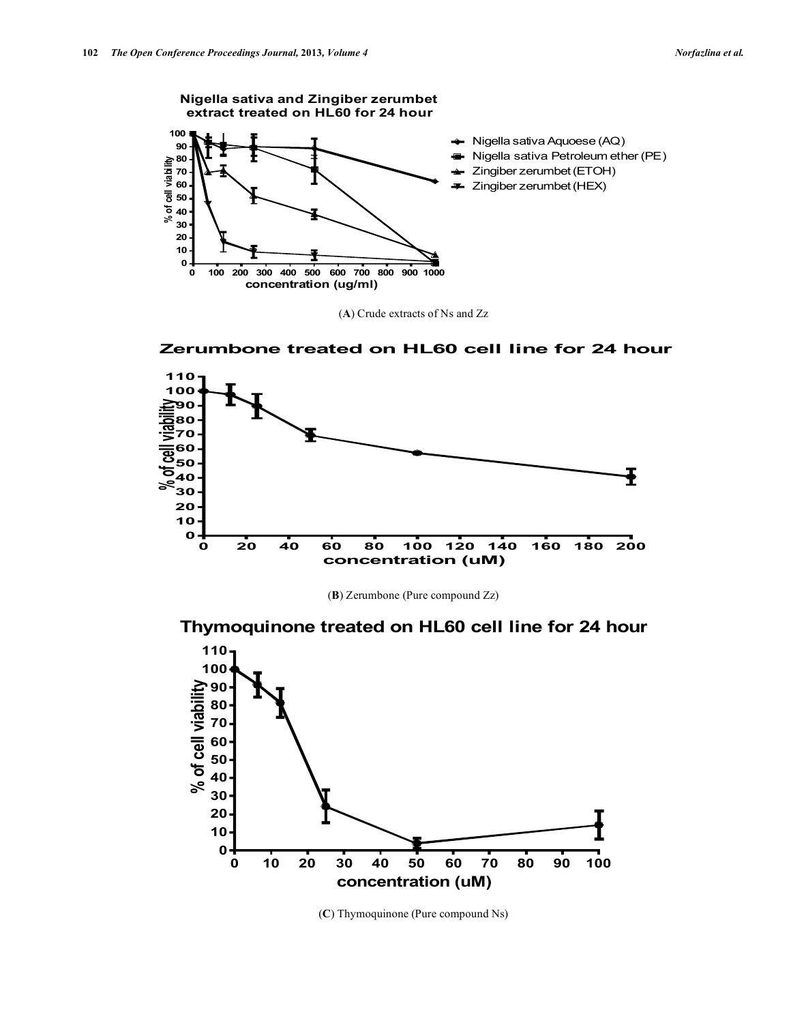**Nigella sativa and Zingiber zerumbet extract treated on HL60 for 24 hour 100**  $\rightarrow$  Nigella sativa Aquoese (AQ) **90** Nigella sativa Petroleum ether (PE)  $\blacksquare$ **80 of cell viability** Zingiber zerumbet(ETOH) **70** Zingiber zerumbet(HEX) **60**  $\mathbf{w}$ **50 40 %30 20 10 0 0 100 200 300 400 500 600 700 800 900 1000 concentration (ug/ml)**

(**A**) Crude extracts of Ns and Zz





(**B**) Zerumbone (Pure compound Zz)

**Thymoquinone treated on HL60 cell line for 24 hour**



(**C**) Thymoquinone (Pure compound Ns)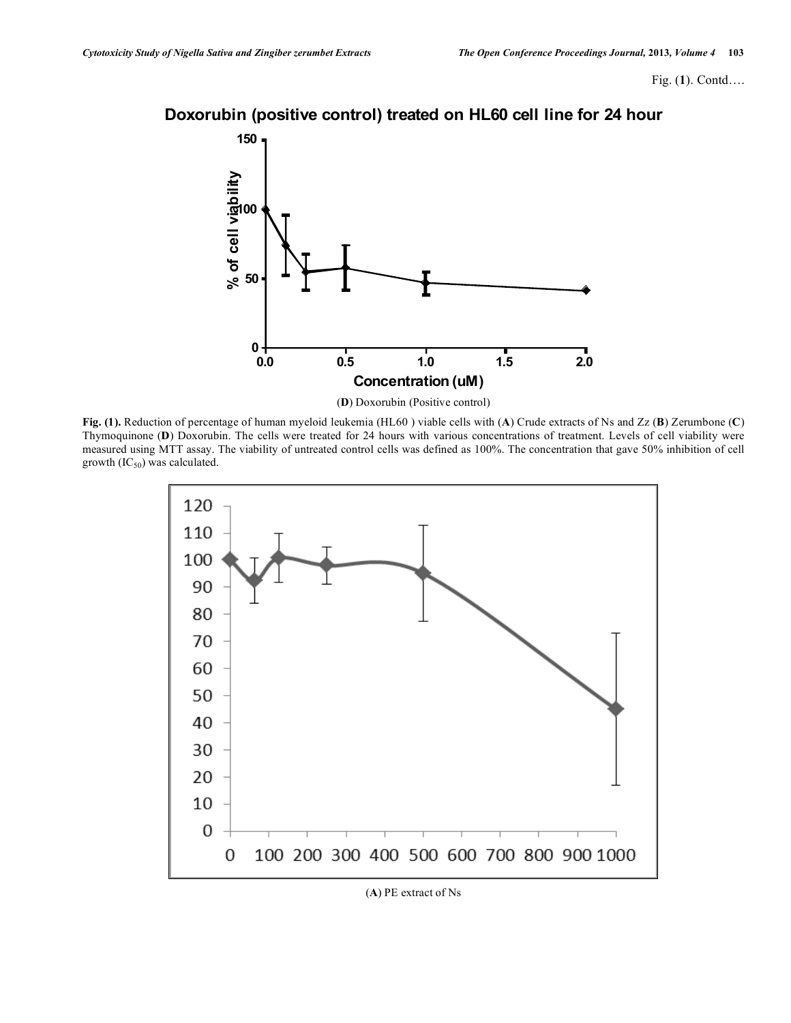# **Doxorubin (positive control) treated on HL60 cell line for 24 hour**



(**D**) Doxorubin (Positive control)

**Fig. (1).** Reduction of percentage of human myeloid leukemia (HL60 ) viable cells with (**A**) Crude extracts of Ns and Zz (**B**) Zerumbone (**C**) Thymoquinone (**D**) Doxorubin. The cells were treated for 24 hours with various concentrations of treatment. Levels of cell viability were measured using MTT assay. The viability of untreated control cells was defined as 100%. The concentration that gave 50% inhibition of cell growth  $(IC_{50})$  was calculated.



(**A**) PE extract of Ns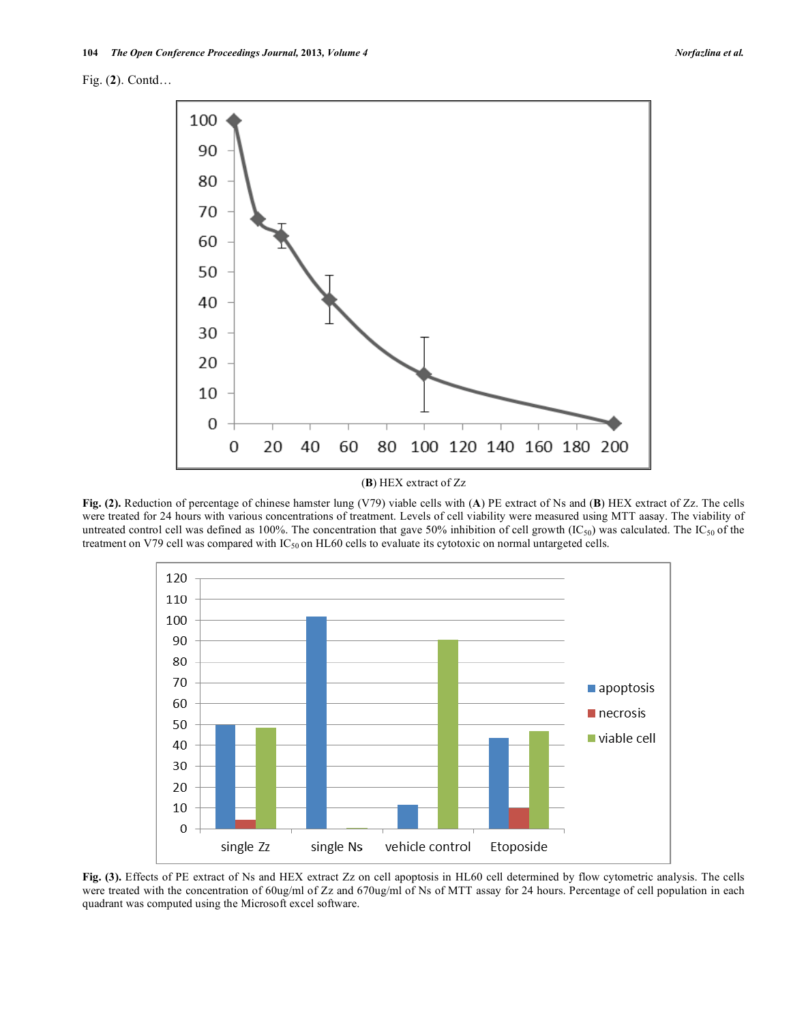Fig. (**2**). Contd…



(**B**) HEX extract of Zz

**Fig. (2).** Reduction of percentage of chinese hamster lung (V79) viable cells with (**A**) PE extract of Ns and (**B**) HEX extract of Zz. The cells were treated for 24 hours with various concentrations of treatment. Levels of cell viability were measured using MTT aasay. The viability of untreated control cell was defined as 100%. The concentration that gave 50% inhibition of cell growth  $(IC_{50})$  was calculated. The IC<sub>50</sub> of the treatment on V79 cell was compared with IC<sub>50</sub> on HL60 cells to evaluate its cytotoxic on normal untargeted cells.



**Fig. (3).** Effects of PE extract of Ns and HEX extract Zz on cell apoptosis in HL60 cell determined by flow cytometric analysis. The cells were treated with the concentration of 60ug/ml of Zz and 670ug/ml of Ns of MTT assay for 24 hours. Percentage of cell population in each quadrant was computed using the Microsoft excel software.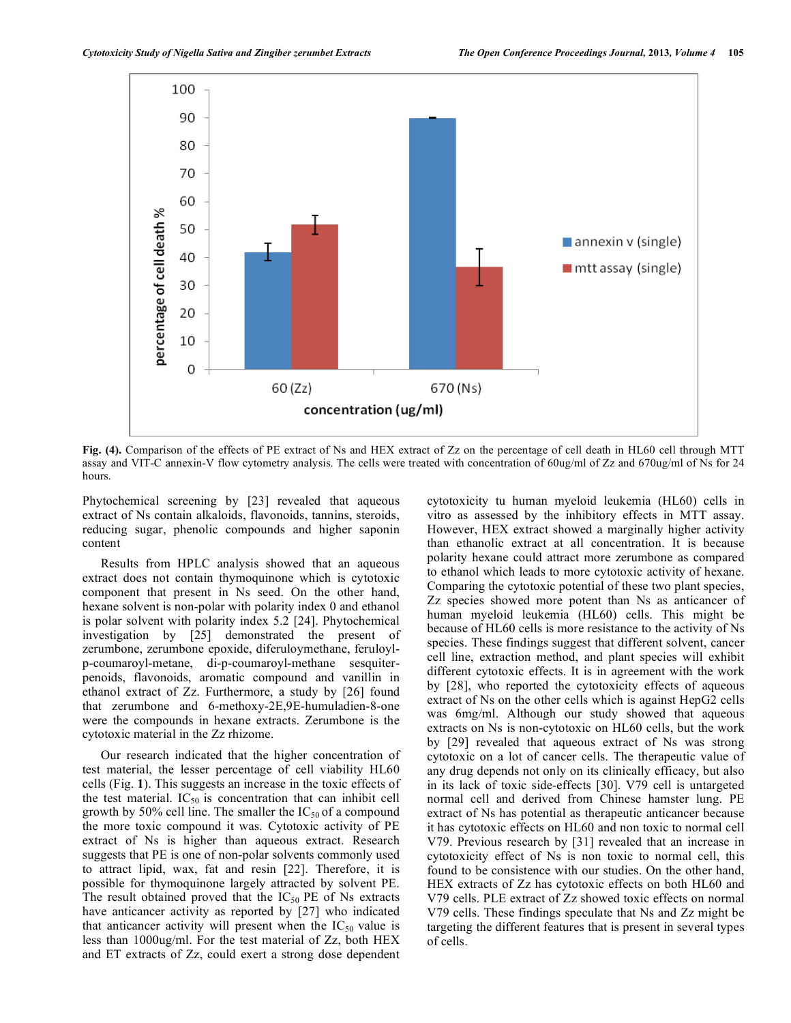

**Fig. (4).** Comparison of the effects of PE extract of Ns and HEX extract of Zz on the percentage of cell death in HL60 cell through MTT assay and VIT-C annexin-V flow cytometry analysis. The cells were treated with concentration of 60ug/ml of Zz and 670ug/ml of Ns for 24 hours.

Phytochemical screening by [23] revealed that aqueous extract of Ns contain alkaloids, flavonoids, tannins, steroids, reducing sugar, phenolic compounds and higher saponin content

Results from HPLC analysis showed that an aqueous extract does not contain thymoquinone which is cytotoxic component that present in Ns seed. On the other hand, hexane solvent is non-polar with polarity index 0 and ethanol is polar solvent with polarity index 5.2 [24]. Phytochemical investigation by [25] demonstrated the present of zerumbone, zerumbone epoxide, diferuloymethane, feruloylp-coumaroyl-metane, di-p-coumaroyl-methane sesquiterpenoids, flavonoids, aromatic compound and vanillin in ethanol extract of Zz. Furthermore, a study by [26] found that zerumbone and 6-methoxy-2E,9E-humuladien-8-one were the compounds in hexane extracts. Zerumbone is the cytotoxic material in the Zz rhizome.

Our research indicated that the higher concentration of test material, the lesser percentage of cell viability HL60 cells (Fig. **1**). This suggests an increase in the toxic effects of the test material.  $IC_{50}$  is concentration that can inhibit cell growth by 50% cell line. The smaller the  $IC_{50}$  of a compound the more toxic compound it was. Cytotoxic activity of PE extract of Ns is higher than aqueous extract. Research suggests that PE is one of non-polar solvents commonly used to attract lipid, wax, fat and resin [22]. Therefore, it is possible for thymoquinone largely attracted by solvent PE. The result obtained proved that the  $IC_{50}$  PE of Ns extracts have anticancer activity as reported by [27] who indicated that anticancer activity will present when the  $IC_{50}$  value is less than 1000ug/ml. For the test material of Zz, both HEX and ET extracts of Zz, could exert a strong dose dependent

cytotoxicity tu human myeloid leukemia (HL60) cells in vitro as assessed by the inhibitory effects in MTT assay. However, HEX extract showed a marginally higher activity than ethanolic extract at all concentration. It is because polarity hexane could attract more zerumbone as compared to ethanol which leads to more cytotoxic activity of hexane. Comparing the cytotoxic potential of these two plant species, Zz species showed more potent than Ns as anticancer of human myeloid leukemia (HL60) cells. This might be because of HL60 cells is more resistance to the activity of Ns species. These findings suggest that different solvent, cancer cell line, extraction method, and plant species will exhibit different cytotoxic effects. It is in agreement with the work by [28], who reported the cytotoxicity effects of aqueous extract of Ns on the other cells which is against HepG2 cells was 6mg/ml. Although our study showed that aqueous extracts on Ns is non-cytotoxic on HL60 cells, but the work by [29] revealed that aqueous extract of Ns was strong cytotoxic on a lot of cancer cells. The therapeutic value of any drug depends not only on its clinically efficacy, but also in its lack of toxic side-effects [30]. V79 cell is untargeted normal cell and derived from Chinese hamster lung. PE extract of Ns has potential as therapeutic anticancer because it has cytotoxic effects on HL60 and non toxic to normal cell V79. Previous research by [31] revealed that an increase in cytotoxicity effect of Ns is non toxic to normal cell, this found to be consistence with our studies. On the other hand, HEX extracts of Zz has cytotoxic effects on both HL60 and V79 cells. PLE extract of Zz showed toxic effects on normal V79 cells. These findings speculate that Ns and Zz might be targeting the different features that is present in several types of cells.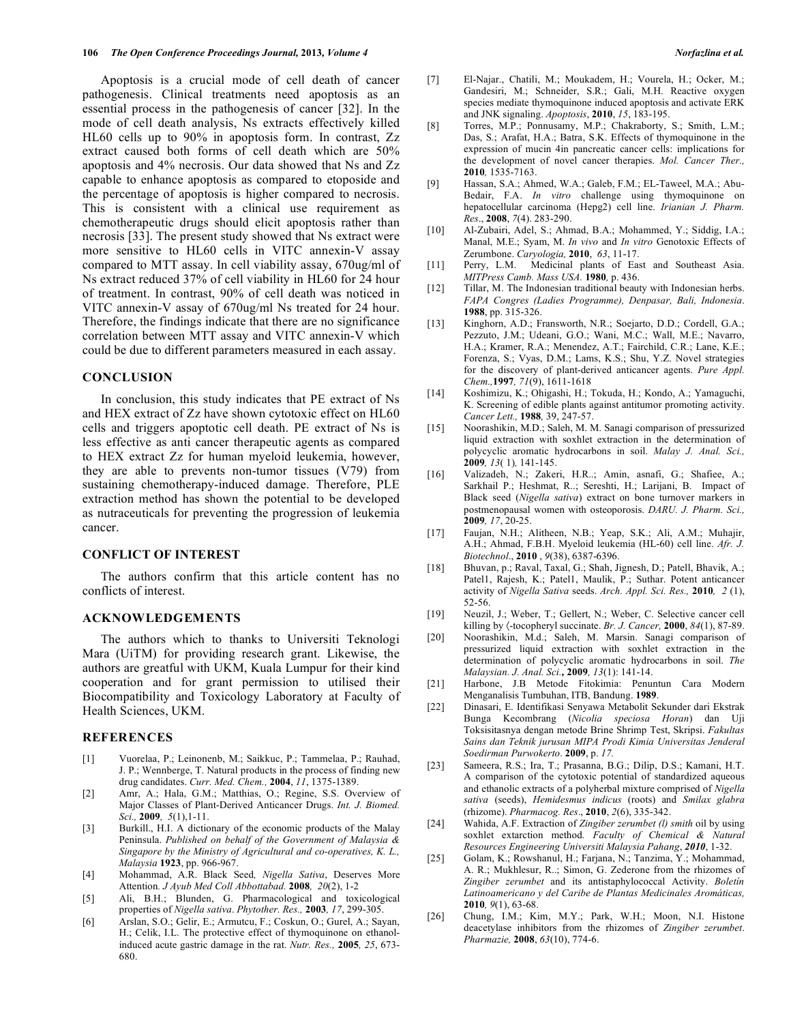Apoptosis is a crucial mode of cell death of cancer pathogenesis. Clinical treatments need apoptosis as an essential process in the pathogenesis of cancer [32]. In the mode of cell death analysis, Ns extracts effectively killed HL60 cells up to 90% in apoptosis form. In contrast, Zz extract caused both forms of cell death which are 50% apoptosis and 4% necrosis. Our data showed that Ns and Zz capable to enhance apoptosis as compared to etoposide and the percentage of apoptosis is higher compared to necrosis. This is consistent with a clinical use requirement as chemotherapeutic drugs should elicit apoptosis rather than necrosis [33]. The present study showed that Ns extract were more sensitive to HL60 cells in VITC annexin-V assay compared to MTT assay. In cell viability assay, 670ug/ml of Ns extract reduced 37% of cell viability in HL60 for 24 hour of treatment. In contrast, 90% of cell death was noticed in VITC annexin-V assay of 670ug/ml Ns treated for 24 hour. Therefore, the findings indicate that there are no significance correlation between MTT assay and VITC annexin-V which could be due to different parameters measured in each assay.

#### **CONCLUSION**

In conclusion, this study indicates that PE extract of Ns and HEX extract of Zz have shown cytotoxic effect on HL60 cells and triggers apoptotic cell death. PE extract of Ns is less effective as anti cancer therapeutic agents as compared to HEX extract Zz for human myeloid leukemia, however, they are able to prevents non-tumor tissues (V79) from sustaining chemotherapy-induced damage. Therefore, PLE extraction method has shown the potential to be developed as nutraceuticals for preventing the progression of leukemia cancer.

#### **CONFLICT OF INTEREST**

The authors confirm that this article content has no conflicts of interest.

# **ACKNOWLEDGEMENTS**

The authors which to thanks to Universiti Teknologi Mara (UiTM) for providing research grant. Likewise, the authors are greatful with UKM, Kuala Lumpur for their kind cooperation and for grant permission to utilised their Biocompatibility and Toxicology Laboratory at Faculty of Health Sciences, UKM.

#### **REFERENCES**

- [1] Vuorelaa, P.; Leinonenb, M.; Saikkuc, P.; Tammelaa, P.; Rauhad, J. P.; Wennberge, T. Natural products in the process of finding new drug candidates. *Curr. Med. Chem.,* **2004**, *11*, 1375-1389.
- [2] Amr, A.; Hala, G.M.; Matthias, O.; Regine, S.S. Overview of Major Classes of Plant-Derived Anticancer Drugs. *Int. J. Biomed. Sci.,* **2009***, 5*(1),1-11.
- [3] Burkill., H.I. A dictionary of the economic products of the Malay Peninsula. *Published on behalf of the Government of Malaysia & Singapore by the Ministry of Agricultural and co-operatives, K. L., Malaysia* **1923**, pp. 966-967.
- [4] Mohammad, A.R. Black Seed*, Nigella Sativa*, Deserves More Attention*. J Ayub Med Coll Abbottabad.* **2008***, 20*(2), 1-2
- [5] Ali, B.H.; Blunden, G. Pharmacological and toxicological properties of *Nigella sativa*. *Phytother. Res.,* **2003***, 17*, 299-305.
- [6] Arslan, S.O.; Gelir, E.; Armutcu, F.; Coskun, O.; Gurel, A.; Sayan, H.; Celik, I.L. The protective effect of thymoquinone on ethanolinduced acute gastric damage in the rat. *Nutr. Res.,* **2005***, 25*, 673- 680.
- [7] El-Najar., Chatili, M.; Moukadem, H.; Vourela, H.; Ocker, M.; Gandesiri, M.; Schneider, S.R.; Gali, M.H. Reactive oxygen species mediate thymoquinone induced apoptosis and activate ERK and JNK signaling. *Apoptosis*, **2010**, *15*, 183-195.
- [8] Torres, M.P.; Ponnusamy, M.P.; Chakraborty, S.; Smith, L.M.; Das, S.; Arafat, H.A.; Batra, S.K. Effects of thymoquinone in the expression of mucin 4in pancreatic cancer cells: implications for the development of novel cancer therapies. *Mol. Cancer Ther.,* **2010***,* 1535-7163.
- [9] Hassan, S.A.; Ahmed, W.A.; Galeb, F.M.; EL-Taweel, M.A.; Abu-Bedair, F.A. *In vitro* challenge using thymoquinone on hepatocellular carcinoma (Hepg2) cell line. *Irianian J. Pharm. Res*., **2008**, *7*(4). 283-290.
- [10] Al-Zubairi, Adel, S.; Ahmad, B.A.; Mohammed, Y.; Siddig, I.A.; Manal, M.E.; Syam, M. *In vivo* and *In vitro* Genotoxic Effects of Zerumbone. *Caryologia,* **2010**, *63*, 11-17.
- [11] Perry, L.M. Medicinal plants of East and Southeast Asia. *MITPress Camb. Mass USA.* **1980***,* p. 436.
- [12] Tillar, M. The Indonesian traditional beauty with Indonesian herbs. *FAPA Congres (Ladies Programme), Denpasar, Bali, Indonesia*. **1988**, pp. 315-326.
- [13] Kinghorn, A.D.; Fransworth, N.R.; Soejarto, D.D.; Cordell, G.A.; Pezzuto, J.M.; Udeani, G.O.; Wani, M.C.; Wall, M.E.; Navarro, H.A.; Kramer, R.A.; Menendez, A.T.; Fairchild, C.R.; Lane, K.E.; Forenza, S.; Vyas, D.M.; Lams, K.S.; Shu, Y.Z. Novel strategies for the discovery of plant-derived anticancer agents. *Pure Appl. Chem.,***1997***, 71*(9), 1611-1618
- [14] Koshimizu, K.; Ohigashi, H.; Tokuda, H.; Kondo, A.; Yamaguchi, K. Screening of edible plants against antitumor promoting activity. *Cancer Lett.,* **1988***,* 39, 247-57.
- [15] Noorashikin, M.D.; Saleh, M. M. Sanagi comparison of pressurized liquid extraction with soxhlet extraction in the determination of polycyclic aromatic hydrocarbons in soil. *Malay J. Anal. Sci.,* **2009***, 13*( 1)*,* 141-145.
- [16] Valizadeh, N.; Zakeri, H.R..; Amin, asnafi, G.; Shafiee, A.; Sarkhail P.; Heshmat, R..; Sereshti, H.; Larijani, B. Impact of Black seed (*Nigella sativa*) extract on bone turnover markers in postmenopausal women with osteoporosis. *DARU. J. Pharm. Sci.,* **2009***, 17*, 20-25.
- [17] Faujan, N.H.; Alitheen, N.B.; Yeap, S.K.; Ali, A.M.; Muhajir, A.H.; Ahmad, F.B.H. Myeloid leukemia (HL-60) cell line. *Afr. J. Biotechnol*., **2010** , *9*(38), 6387-6396.
- [18] Bhuvan, p.; Raval, Taxal, G.; Shah, Jignesh, D.; Patell, Bhavik, A.; Patel1, Rajesh, K.; Patel1, Maulik, P.; Suthar. Potent anticancer activity of *Nigella Sativa* seeds. *Arch. Appl. Sci. Res.,* **2010***, 2* (1), 52-56.
- [19] Neuzil, J.; Weber, T.; Gellert, N.; Weber, C. Selective cancer cell killing by 〈-tocopheryl succinate. *Br. J. Cancer,* **2000**, *84*(1), 87-89.
- [20] Noorashikin, M.d.; Saleh, M. Marsin. Sanagi comparison of pressurized liquid extraction with soxhlet extraction in the determination of polycyclic aromatic hydrocarbons in soil. *The Malaysian. J. Anal. Sci.,* **2009***, 13*(1): 141-14.
- [21] Harbone, J.B Metode Fitokimia: Penuntun Cara Modern Menganalisis Tumbuhan, ITB, Bandung. **1989**.
- [22] Dinasari, E. Identifikasi Senyawa Metabolit Sekunder dari Ekstrak Bunga Kecombrang (*Nicolia speciosa Horan*) dan Uji Toksisitasnya dengan metode Brine Shrimp Test, Skripsi. *Fakultas Sains dan Teknik jurusan MIPA Prodi Kimia Universitas Jenderal Soedirman Purwokerto*. **2009**, p. *17.*
- [23] Sameera, R.S.; Ira, T.; Prasanna, B.G.; Dilip, D.S.; Kamani, H.T. A comparison of the cytotoxic potential of standardized aqueous and ethanolic extracts of a polyherbal mixture comprised of *Nigella sativa* (seeds), *Hemidesmus indicus* (roots) and *Smilax glabra* (rhizome). *Pharmacog. Res*., **2010**, *2*(6), 335-342.
- [24] Wahida, A.F. Extraction of *Zingiber zerumbet (l) smith* oil by using soxhlet extarction method*. Faculty of Chemical & Natural Resources Engineering Universiti Malaysia Pahang*, *2010*, 1-32.
- [25] Golam, K.; Rowshanul, H.; Farjana, N.; Tanzima, Y.; Mohammad, A. R.; Mukhlesur, R..; Simon, G. Zederone from the rhizomes of *Zingiber zerumbet* and its antistaphylococcal Activity. *Boletín Latinoamericano y del Caribe de Plantas Medicinales Aromáticas,* **2010***, 9*(1), 63-68.
- [26] Chung, I.M.; Kim, M.Y.; Park, W.H.; Moon, N.I. Histone deacetylase inhibitors from the rhizomes of *Zingiber zerumbet*. *Pharmazie,* **2008**, *63*(10), 774-6.